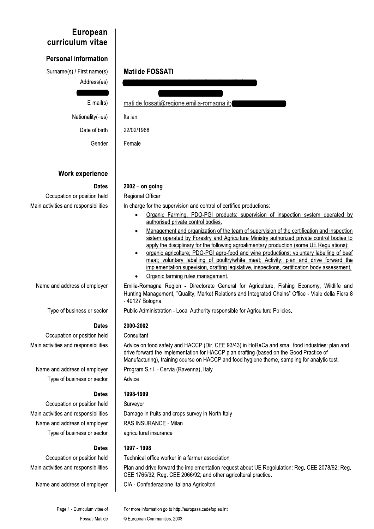## **European** curriculum vitae

## **Personal information**

Surname(s) / First name(s) Address(es)

 $E$ -mail $(s)$ 

Nationality(-ies) Date of birth Gender

## **Work experience**

## **Dates**

Occupation or position held Main activities and responsibilities

Name and address of employer

Type of business or sector

Occupation or position held

Main activities and responsibilities

Name and address of employer Type of business or sector

## **Dates**

**Dates** 

Advice on food safety and HACCP (Dir. CEE 93/43) in HoReCa and small food industries: plan and drive forward the implementation for HACCP plan drafting (based on the Good Practice of Manufacturing), training course on HACCP and food hygiene theme, sampling for analytic test.

Survevor Damage in fruits and crops survey in North Italy RAS INSURANCE - Milan agricultural insurance

## 1997 - 1998

Technical office worker in a farmer association

Plan and drive forward the implementation request about UE Regolulation: Reg. CEE 2078/92; Reg. CEE 1765/92; Reg. CEE 2066/92; and other agricoltural practice.

CIA - Confederazione Italiana Agricoltori

Page 1 - Curriculum vitae of **Fossati Matilde** 

For more information go to http://europass.cedefop.eu.int © European Communities, 2003

## **Matilde FOSSATI**

matilde.fossati@regione.emilia-romagna.it;

Italian

22/02/1968

Female

# $2002 -$  on going

## **Regional Officer**

In charge for the supervision and control of certified productions:

- Organic Farming, PDO-PGI products: supervision of inspection system operated by authorised private control bodies.
- Management and organization of the team of supervision of the certification and inspection sistem operated by Forestry and Agriculture Ministry authorized private control bodies to apply the disciplinary for the following agroalimentary production (some UE Regulations):
- organic agricolture; PDO-PGI agro-food and wine productions; voluntary labelling of beef meat; voluntary labelling of poultry/white meat; Activity: plan and drive forward the implementation supevision, drafting legislative, inspections, certification body assessment.
- Organic farming rules management.

Emilia-Romagna Region - Directorate General for Agriculture, Fishing Economy, Wildlife and Hunting Management, "Quality, Market Relations and Integrated Chains" Office - Viale della Fiera 8 - 40127 Bologna

Public Administration - Local Authority responsible for Agriculture Policies.

## 2000-2002

## Consultant

Program S.r.l. - Cervia (Ravenna), Italy

Advice

1998-1999

Occupation or position held Main activities and responsibilities Name and address of employer Type of business or sector

**Dates** Occupation or position held Main activities and responsibilities

Name and address of employer